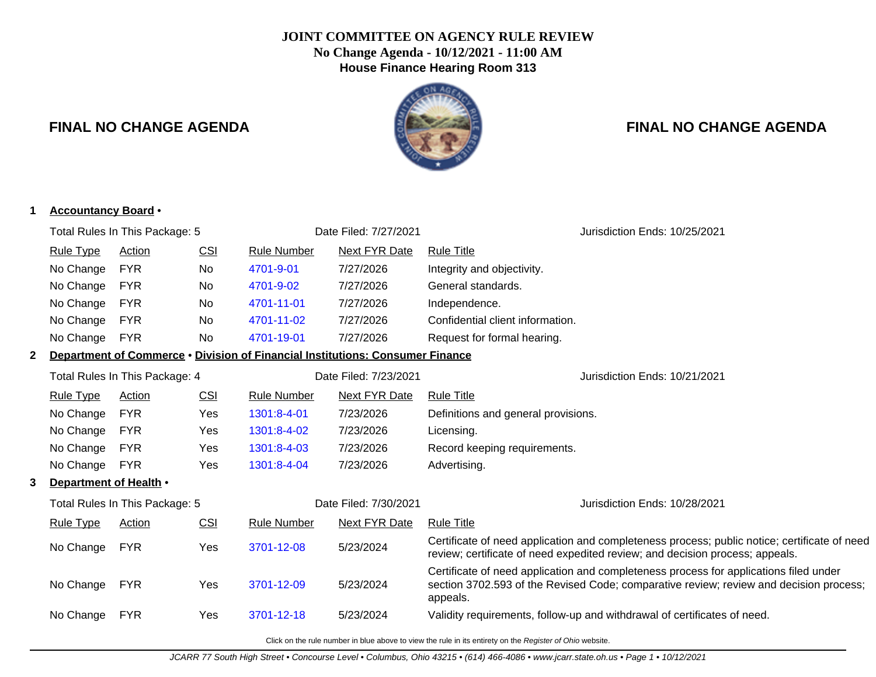# **JOINT COMMITTEE ON AGENCY RULE REVIEW No Change Agenda - 10/12/2021 - 11:00 AM House Finance Hearing Room 313**

# **FINAL NO CHANGE AGENDA FINAL NO CHANGE AGENDA**

|              | Total Rules In This Package: 5<br><b>Rule Type</b><br>No Change | <b>Action</b> |            |                    | Date Filed: 7/27/2021                                                         |                                                                                                                                                                                             |  |  |
|--------------|-----------------------------------------------------------------|---------------|------------|--------------------|-------------------------------------------------------------------------------|---------------------------------------------------------------------------------------------------------------------------------------------------------------------------------------------|--|--|
|              |                                                                 |               |            |                    |                                                                               | Jurisdiction Ends: 10/25/2021                                                                                                                                                               |  |  |
|              |                                                                 |               | <b>CSI</b> | <b>Rule Number</b> | <b>Next FYR Date</b>                                                          | <b>Rule Title</b>                                                                                                                                                                           |  |  |
|              |                                                                 | <b>FYR</b>    | No         | 4701-9-01          | 7/27/2026                                                                     | Integrity and objectivity.                                                                                                                                                                  |  |  |
|              | No Change                                                       | <b>FYR</b>    | No         | 4701-9-02          | 7/27/2026                                                                     | General standards.                                                                                                                                                                          |  |  |
|              | No Change                                                       | <b>FYR</b>    | No.        | 4701-11-01         | 7/27/2026                                                                     | Independence.                                                                                                                                                                               |  |  |
|              | No Change                                                       | <b>FYR</b>    | No         | 4701-11-02         | 7/27/2026                                                                     | Confidential client information.                                                                                                                                                            |  |  |
|              | No Change                                                       | <b>FYR</b>    | <b>No</b>  | 4701-19-01         | 7/27/2026                                                                     | Request for formal hearing.                                                                                                                                                                 |  |  |
| $\mathbf{2}$ |                                                                 |               |            |                    | Department of Commerce • Division of Financial Institutions: Consumer Finance |                                                                                                                                                                                             |  |  |
|              | Total Rules In This Package: 4                                  |               |            |                    | Date Filed: 7/23/2021                                                         | Jurisdiction Ends: 10/21/2021                                                                                                                                                               |  |  |
|              | <b>Rule Type</b>                                                | Action        | <b>CSI</b> | <b>Rule Number</b> | <b>Next FYR Date</b>                                                          | <b>Rule Title</b>                                                                                                                                                                           |  |  |
|              | No Change                                                       | <b>FYR</b>    | Yes        | 1301:8-4-01        | 7/23/2026                                                                     | Definitions and general provisions.                                                                                                                                                         |  |  |
|              | No Change                                                       | <b>FYR</b>    | Yes        | 1301:8-4-02        | 7/23/2026                                                                     | Licensing.                                                                                                                                                                                  |  |  |
|              | No Change                                                       | <b>FYR</b>    | Yes        | 1301:8-4-03        | 7/23/2026                                                                     | Record keeping requirements.                                                                                                                                                                |  |  |
|              | No Change                                                       | <b>FYR</b>    | Yes        | 1301:8-4-04        | 7/23/2026                                                                     | Advertising.                                                                                                                                                                                |  |  |
| 3            | Department of Health •                                          |               |            |                    |                                                                               |                                                                                                                                                                                             |  |  |
|              | Total Rules In This Package: 5                                  |               |            |                    | Date Filed: 7/30/2021                                                         | Jurisdiction Ends: 10/28/2021                                                                                                                                                               |  |  |
|              | <b>Rule Type</b>                                                | <b>Action</b> | <b>CSI</b> | <b>Rule Number</b> | <b>Next FYR Date</b>                                                          | <b>Rule Title</b>                                                                                                                                                                           |  |  |
|              | No Change                                                       | <b>FYR</b>    | Yes        | 3701-12-08         | 5/23/2024                                                                     | Certificate of need application and completeness process; public notice; certificate of need<br>review; certificate of need expedited review; and decision process; appeals.                |  |  |
|              | No Change                                                       | <b>FYR</b>    | Yes        | 3701-12-09         | 5/23/2024                                                                     | Certificate of need application and completeness process for applications filed under<br>section 3702.593 of the Revised Code; comparative review; review and decision process;<br>appeals. |  |  |
|              | No Change                                                       | <b>FYR</b>    | Yes        | 3701-12-18         | 5/23/2024                                                                     | Validity requirements, follow-up and withdrawal of certificates of need.                                                                                                                    |  |  |
|              |                                                                 |               |            |                    |                                                                               | Click on the rule number in blue above to view the rule in its entirety on the Register of Ohio website.                                                                                    |  |  |
|              |                                                                 |               |            |                    |                                                                               | JCARR 77 South High Street • Concourse Level • Columbus, Ohio 43215 • (614) 466-4086 • www.jcarr.state.oh.us • Page 1 • 10/12/2021                                                          |  |  |

### **1 Accountancy Board** •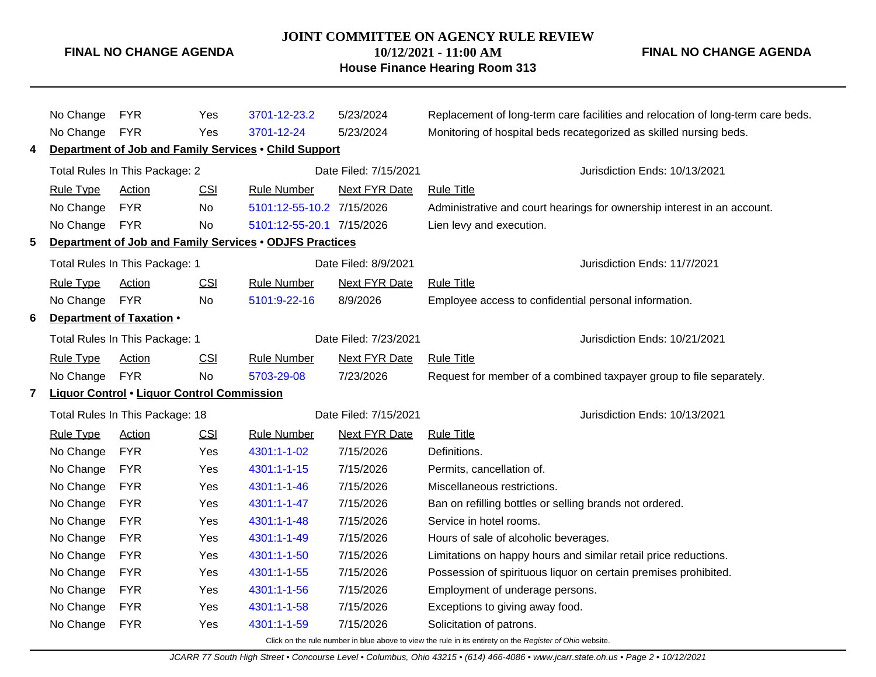#### **JOINT COMMITTEE ON AGENCY RULE REVIEW 10/12/2021 - 11:00 AM**

**House Finance Hearing Room 313**

**FINAL NO CHANGE AGENDA**

# No Change FYR Yes [3701-12-23.2](http://www.registerofohio.state.oh.us/jsps/publicdisplayrules/processPublicDisplayRules.jsp?entered_rule_no=3701-12-23.2&doWhat=GETBYRULENUM&raID=0) 5/23/2024 Replacement of long-term care facilities and relocation of long-term care beds. No Change FYR Yes [3701-12-24](http://www.registerofohio.state.oh.us/jsps/publicdisplayrules/processPublicDisplayRules.jsp?entered_rule_no=3701-12-24&doWhat=GETBYRULENUM&raID=0) 5/23/2024 Monitoring of hospital beds recategorized as skilled nursing beds. **4 Department of Job and Family Services** • **Child Support** Total Rules In This Package: 2 Date Filed: 7/15/2021 Jurisdiction Ends: 10/13/2021 Rule Type Action CSI Rule Number Next FYR Date Rule Title No Change FYR No [5101:12-55-10.2](http://www.registerofohio.state.oh.us/jsps/publicdisplayrules/processPublicDisplayRules.jsp?entered_rule_no=5101:12-55-10.2&doWhat=GETBYRULENUM&raID=0) 7/15/2026 Administrative and court hearings for ownership interest in an account. No Change FYR No [5101:12-55-20.1](http://www.registerofohio.state.oh.us/jsps/publicdisplayrules/processPublicDisplayRules.jsp?entered_rule_no=5101:12-55-20.1&doWhat=GETBYRULENUM&raID=0) 7/15/2026 Lien levy and execution. **5 Department of Job and Family Services** • **ODJFS Practices** Total Rules In This Package: 1 **Date Filed: 8/9/2021** Jurisdiction Ends: 11/7/2021 Rule Type Action CSI Rule Number Next FYR Date Rule Title No Change FYR No [5101:9-22-16](http://www.registerofohio.state.oh.us/jsps/publicdisplayrules/processPublicDisplayRules.jsp?entered_rule_no=5101:9-22-16&doWhat=GETBYRULENUM&raID=0) 8/9/2026 Employee access to confidential personal information. **6 Department of Taxation** • Total Rules In This Package: 1 Date Filed: 7/23/2021 Jurisdiction Ends: 10/21/2021 Rule Type Action CSI Rule Number Next FYR Date Rule Title No Change FYR No [5703-29-08](http://www.registerofohio.state.oh.us/jsps/publicdisplayrules/processPublicDisplayRules.jsp?entered_rule_no=5703-29-08&doWhat=GETBYRULENUM&raID=0) 7/23/2026 Request for member of a combined taxpayer group to file separately. **7 Liquor Control** • **Liquor Control Commission** Total Rules In This Package: 18 Date Filed: 7/15/2021 Jurisdiction Ends: 10/13/2021 Rule Type Action CSI Rule Number Next FYR Date Rule Title No Change FYR Yes [4301:1-1-02](http://www.registerofohio.state.oh.us/jsps/publicdisplayrules/processPublicDisplayRules.jsp?entered_rule_no=4301:1-1-02&doWhat=GETBYRULENUM&raID=0) 7/15/2026 Definitions. No Change FYR Yes [4301:1-1-15](http://www.registerofohio.state.oh.us/jsps/publicdisplayrules/processPublicDisplayRules.jsp?entered_rule_no=4301:1-1-15&doWhat=GETBYRULENUM&raID=0) 7/15/2026 Permits, cancellation of. No Change FYR Yes [4301:1-1-46](http://www.registerofohio.state.oh.us/jsps/publicdisplayrules/processPublicDisplayRules.jsp?entered_rule_no=4301:1-1-46&doWhat=GETBYRULENUM&raID=0) 7/15/2026 Miscellaneous restrictions. No Change FYR Yes [4301:1-1-47](http://www.registerofohio.state.oh.us/jsps/publicdisplayrules/processPublicDisplayRules.jsp?entered_rule_no=4301:1-1-47&doWhat=GETBYRULENUM&raID=0) 7/15/2026 Ban on refilling bottles or selling brands not ordered. No Change FYR Yes [4301:1-1-48](http://www.registerofohio.state.oh.us/jsps/publicdisplayrules/processPublicDisplayRules.jsp?entered_rule_no=4301:1-1-48&doWhat=GETBYRULENUM&raID=0) 7/15/2026 Service in hotel rooms. No Change FYR Yes [4301:1-1-49](http://www.registerofohio.state.oh.us/jsps/publicdisplayrules/processPublicDisplayRules.jsp?entered_rule_no=4301:1-1-49&doWhat=GETBYRULENUM&raID=0) 7/15/2026 Hours of sale of alcoholic beverages. No Change FYR Yes [4301:1-1-50](http://www.registerofohio.state.oh.us/jsps/publicdisplayrules/processPublicDisplayRules.jsp?entered_rule_no=4301:1-1-50&doWhat=GETBYRULENUM&raID=0) 7/15/2026 Limitations on happy hours and similar retail price reductions. No Change FYR Yes [4301:1-1-55](http://www.registerofohio.state.oh.us/jsps/publicdisplayrules/processPublicDisplayRules.jsp?entered_rule_no=4301:1-1-55&doWhat=GETBYRULENUM&raID=0) 7/15/2026 Possession of spirituous liquor on certain premises prohibited. No Change FYR Yes [4301:1-1-56](http://www.registerofohio.state.oh.us/jsps/publicdisplayrules/processPublicDisplayRules.jsp?entered_rule_no=4301:1-1-56&doWhat=GETBYRULENUM&raID=0) 7/15/2026 Employment of underage persons. No Change FYR Yes [4301:1-1-58](http://www.registerofohio.state.oh.us/jsps/publicdisplayrules/processPublicDisplayRules.jsp?entered_rule_no=4301:1-1-58&doWhat=GETBYRULENUM&raID=0) 7/15/2026 Exceptions to giving away food. No Change FYR Yes [4301:1-1-59](http://www.registerofohio.state.oh.us/jsps/publicdisplayrules/processPublicDisplayRules.jsp?entered_rule_no=4301:1-1-59&doWhat=GETBYRULENUM&raID=0) 7/15/2026 Solicitation of patrons.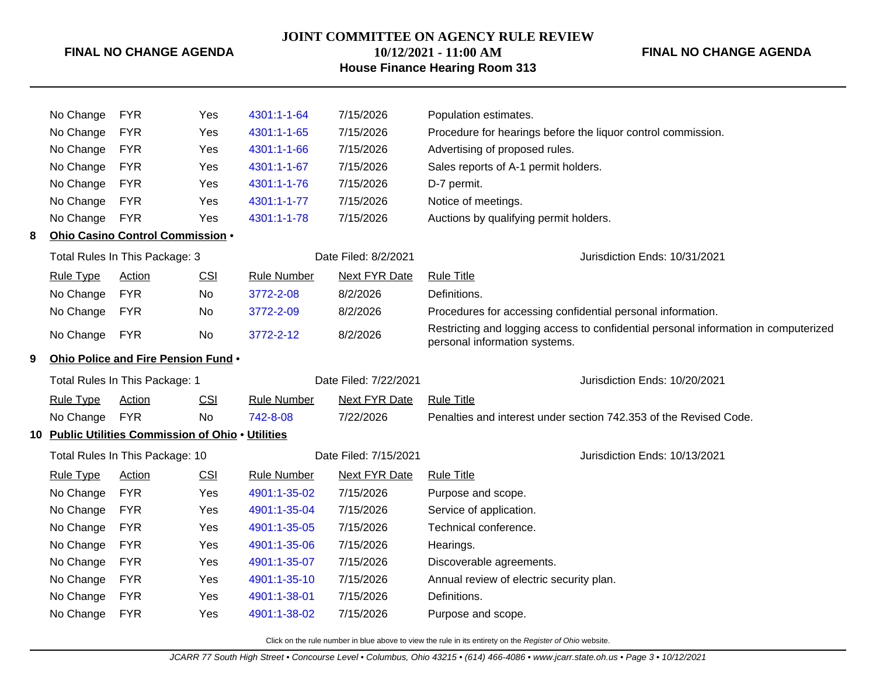**JOINT COMMITTEE ON AGENCY RULE REVIEW**

### **FINAL NO CHANGE AGENDA**

## **10/12/2021 - 11:00 AM House Finance Hearing Room 313**

### **FINAL NO CHANGE AGENDA**

|   | No Change        | <b>FYR</b>                                         | Yes        | 4301:1-1-64        | 7/15/2026             | Population estimates.                                                                                                |
|---|------------------|----------------------------------------------------|------------|--------------------|-----------------------|----------------------------------------------------------------------------------------------------------------------|
|   | No Change        | <b>FYR</b>                                         | Yes        | 4301:1-1-65        | 7/15/2026             | Procedure for hearings before the liquor control commission.                                                         |
|   | No Change        | <b>FYR</b>                                         | Yes        | 4301:1-1-66        | 7/15/2026             | Advertising of proposed rules.                                                                                       |
|   | No Change        | <b>FYR</b>                                         | Yes        | 4301:1-1-67        | 7/15/2026             | Sales reports of A-1 permit holders.                                                                                 |
|   | No Change        | <b>FYR</b>                                         | Yes        | 4301:1-1-76        | 7/15/2026             | D-7 permit.                                                                                                          |
|   | No Change        | <b>FYR</b>                                         | Yes        | 4301:1-1-77        | 7/15/2026             | Notice of meetings.                                                                                                  |
|   | No Change        | <b>FYR</b>                                         | Yes        | 4301:1-1-78        | 7/15/2026             | Auctions by qualifying permit holders.                                                                               |
| 8 |                  | Ohio Casino Control Commission .                   |            |                    |                       |                                                                                                                      |
|   |                  | Total Rules In This Package: 3                     |            |                    | Date Filed: 8/2/2021  | Jurisdiction Ends: 10/31/2021                                                                                        |
|   | <b>Rule Type</b> | <b>Action</b>                                      | CSI        | <b>Rule Number</b> | <b>Next FYR Date</b>  | <b>Rule Title</b>                                                                                                    |
|   | No Change        | <b>FYR</b>                                         | No         | 3772-2-08          | 8/2/2026              | Definitions.                                                                                                         |
|   | No Change        | <b>FYR</b>                                         | No         | 3772-2-09          | 8/2/2026              | Procedures for accessing confidential personal information.                                                          |
|   | No Change        | <b>FYR</b>                                         | No         | 3772-2-12          | 8/2/2026              | Restricting and logging access to confidential personal information in computerized<br>personal information systems. |
| 9 |                  | Ohio Police and Fire Pension Fund .                |            |                    |                       |                                                                                                                      |
|   |                  | Total Rules In This Package: 1                     |            |                    | Date Filed: 7/22/2021 | Jurisdiction Ends: 10/20/2021                                                                                        |
|   | <b>Rule Type</b> | <b>Action</b>                                      | <b>CSI</b> | <b>Rule Number</b> | <b>Next FYR Date</b>  | <b>Rule Title</b>                                                                                                    |
|   | No Change        | <b>FYR</b>                                         | No         | 742-8-08           | 7/22/2026             | Penalties and interest under section 742.353 of the Revised Code.                                                    |
|   |                  | 10 Public Utilities Commission of Ohio . Utilities |            |                    |                       |                                                                                                                      |
|   |                  | Total Rules In This Package: 10                    |            |                    | Date Filed: 7/15/2021 | Jurisdiction Ends: 10/13/2021                                                                                        |
|   | <b>Rule Type</b> | <b>Action</b>                                      | CSI        | <b>Rule Number</b> | Next FYR Date         | <b>Rule Title</b>                                                                                                    |
|   | No Change        | <b>FYR</b>                                         | Yes        | 4901:1-35-02       | 7/15/2026             | Purpose and scope.                                                                                                   |
|   | No Change        | <b>FYR</b>                                         | Yes        | 4901:1-35-04       | 7/15/2026             | Service of application.                                                                                              |
|   | No Change        | <b>FYR</b>                                         | Yes        | 4901:1-35-05       | 7/15/2026             | Technical conference.                                                                                                |
|   | No Change        | <b>FYR</b>                                         | Yes        | 4901:1-35-06       | 7/15/2026             | Hearings.                                                                                                            |
|   | No Change        | <b>FYR</b>                                         | Yes        | 4901:1-35-07       | 7/15/2026             | Discoverable agreements.                                                                                             |
|   | No Change        | <b>FYR</b>                                         | Yes        | 4901:1-35-10       | 7/15/2026             | Annual review of electric security plan.                                                                             |
|   | No Change        | <b>FYR</b>                                         | Yes        | 4901:1-38-01       | 7/15/2026             | Definitions.                                                                                                         |
|   | No Change        | <b>FYR</b>                                         | Yes        | 4901:1-38-02       | 7/15/2026             | Purpose and scope.                                                                                                   |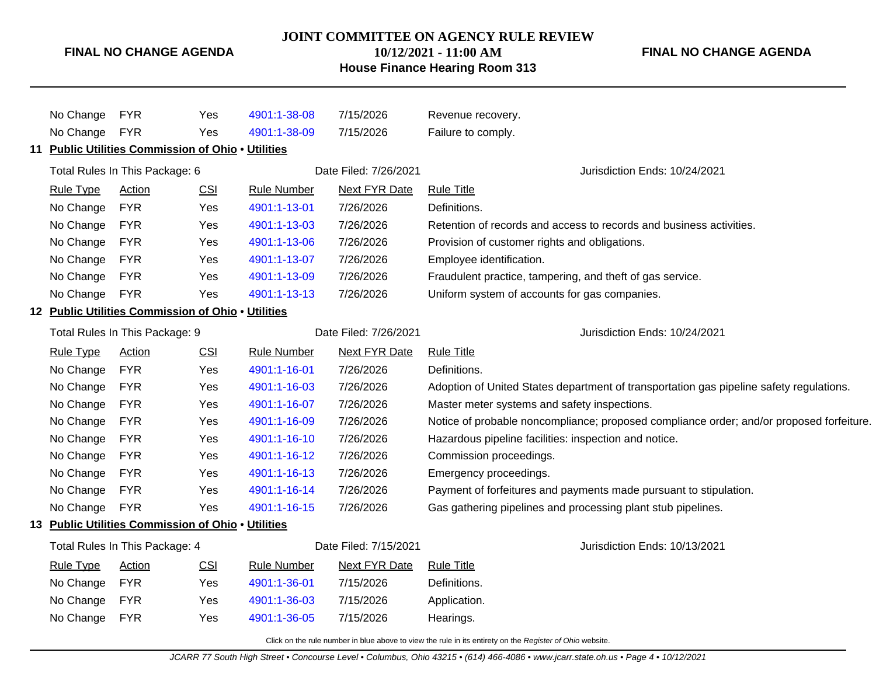#### **JOINT COMMITTEE ON AGENCY RULE REVIEW 10/12/2021 - 11:00 AM**

**FINAL NO CHANGE AGENDA**

# **House Finance Hearing Room 313** No Change FYR Yes [4901:1-38-08](http://www.registerofohio.state.oh.us/jsps/publicdisplayrules/processPublicDisplayRules.jsp?entered_rule_no=4901:1-38-08&doWhat=GETBYRULENUM&raID=0) 7/15/2026 Revenue recovery. No Change FYR Yes [4901:1-38-09](http://www.registerofohio.state.oh.us/jsps/publicdisplayrules/processPublicDisplayRules.jsp?entered_rule_no=4901:1-38-09&doWhat=GETBYRULENUM&raID=0) 7/15/2026 Failure to comply. **11 Public Utilities Commission of Ohio** • **Utilities** Total Rules In This Package: 6 **Date Filed: 7/26/2021** Jurisdiction Ends: 10/24/2021 Rule Type Action CSI Rule Number Next FYR Date Rule Title No Change FYR Yes [4901:1-13-01](http://www.registerofohio.state.oh.us/jsps/publicdisplayrules/processPublicDisplayRules.jsp?entered_rule_no=4901:1-13-01&doWhat=GETBYRULENUM&raID=0) 7/26/2026 Definitions. No Change FYR Yes [4901:1-13-03](http://www.registerofohio.state.oh.us/jsps/publicdisplayrules/processPublicDisplayRules.jsp?entered_rule_no=4901:1-13-03&doWhat=GETBYRULENUM&raID=0) 7/26/2026 Retention of records and access to records and business activities. No Change FYR Yes [4901:1-13-06](http://www.registerofohio.state.oh.us/jsps/publicdisplayrules/processPublicDisplayRules.jsp?entered_rule_no=4901:1-13-06&doWhat=GETBYRULENUM&raID=0) 7/26/2026 Provision of customer rights and obligations. No Change FYR Yes [4901:1-13-07](http://www.registerofohio.state.oh.us/jsps/publicdisplayrules/processPublicDisplayRules.jsp?entered_rule_no=4901:1-13-07&doWhat=GETBYRULENUM&raID=0) 7/26/2026 Employee identification. No Change FYR Yes [4901:1-13-09](http://www.registerofohio.state.oh.us/jsps/publicdisplayrules/processPublicDisplayRules.jsp?entered_rule_no=4901:1-13-09&doWhat=GETBYRULENUM&raID=0) 7/26/2026 Fraudulent practice, tampering, and theft of gas service. No Change FYR Yes [4901:1-13-13](http://www.registerofohio.state.oh.us/jsps/publicdisplayrules/processPublicDisplayRules.jsp?entered_rule_no=4901:1-13-13&doWhat=GETBYRULENUM&raID=0) 7/26/2026 Uniform system of accounts for gas companies. **12 Public Utilities Commission of Ohio** • **Utilities** Total Rules In This Package: 9 Date Filed: 7/26/2021 Jurisdiction Ends: 10/24/2021 Rule Type Action CSI Rule Number Next FYR Date Rule Title No Change FYR Yes [4901:1-16-01](http://www.registerofohio.state.oh.us/jsps/publicdisplayrules/processPublicDisplayRules.jsp?entered_rule_no=4901:1-16-01&doWhat=GETBYRULENUM&raID=0) 7/26/2026 Definitions. No Change FYR Yes [4901:1-16-03](http://www.registerofohio.state.oh.us/jsps/publicdisplayrules/processPublicDisplayRules.jsp?entered_rule_no=4901:1-16-03&doWhat=GETBYRULENUM&raID=0) 7/26/2026 Adoption of United States department of transportation gas pipeline safety regulations. No Change FYR Yes [4901:1-16-07](http://www.registerofohio.state.oh.us/jsps/publicdisplayrules/processPublicDisplayRules.jsp?entered_rule_no=4901:1-16-07&doWhat=GETBYRULENUM&raID=0) 7/26/2026 Master meter systems and safety inspections. No Change FYR Yes [4901:1-16-09](http://www.registerofohio.state.oh.us/jsps/publicdisplayrules/processPublicDisplayRules.jsp?entered_rule_no=4901:1-16-09&doWhat=GETBYRULENUM&raID=0) 7/26/2026 Notice of probable noncompliance; proposed compliance order; and/or proposed forfeiture. No Change FYR Yes [4901:1-16-10](http://www.registerofohio.state.oh.us/jsps/publicdisplayrules/processPublicDisplayRules.jsp?entered_rule_no=4901:1-16-10&doWhat=GETBYRULENUM&raID=0) 7/26/2026 Hazardous pipeline facilities: inspection and notice. No Change FYR Yes [4901:1-16-12](http://www.registerofohio.state.oh.us/jsps/publicdisplayrules/processPublicDisplayRules.jsp?entered_rule_no=4901:1-16-12&doWhat=GETBYRULENUM&raID=0) 7/26/2026 Commission proceedings. No Change FYR Yes [4901:1-16-13](http://www.registerofohio.state.oh.us/jsps/publicdisplayrules/processPublicDisplayRules.jsp?entered_rule_no=4901:1-16-13&doWhat=GETBYRULENUM&raID=0) 7/26/2026 Emergency proceedings. No Change FYR Yes [4901:1-16-14](http://www.registerofohio.state.oh.us/jsps/publicdisplayrules/processPublicDisplayRules.jsp?entered_rule_no=4901:1-16-14&doWhat=GETBYRULENUM&raID=0) 7/26/2026 Payment of forfeitures and payments made pursuant to stipulation. No Change FYR Yes [4901:1-16-15](http://www.registerofohio.state.oh.us/jsps/publicdisplayrules/processPublicDisplayRules.jsp?entered_rule_no=4901:1-16-15&doWhat=GETBYRULENUM&raID=0) 7/26/2026 Gas gathering pipelines and processing plant stub pipelines. **13 Public Utilities Commission of Ohio** • **Utilities** Total Rules In This Package: 4 Date Filed: 7/15/2021 Jurisdiction Ends: 10/13/2021 Rule Type Action CSI Rule Number Next FYR Date Rule Title No Change FYR Yes [4901:1-36-01](http://www.registerofohio.state.oh.us/jsps/publicdisplayrules/processPublicDisplayRules.jsp?entered_rule_no=4901:1-36-01&doWhat=GETBYRULENUM&raID=0) 7/15/2026 Definitions. No Change FYR Yes [4901:1-36-03](http://www.registerofohio.state.oh.us/jsps/publicdisplayrules/processPublicDisplayRules.jsp?entered_rule_no=4901:1-36-03&doWhat=GETBYRULENUM&raID=0) 7/15/2026 Application.

Click on the rule number in blue above to view the rule in its entirety on the Register of Ohio website.

No Change FYR Yes [4901:1-36-05](http://www.registerofohio.state.oh.us/jsps/publicdisplayrules/processPublicDisplayRules.jsp?entered_rule_no=4901:1-36-05&doWhat=GETBYRULENUM&raID=0) 7/15/2026 Hearings.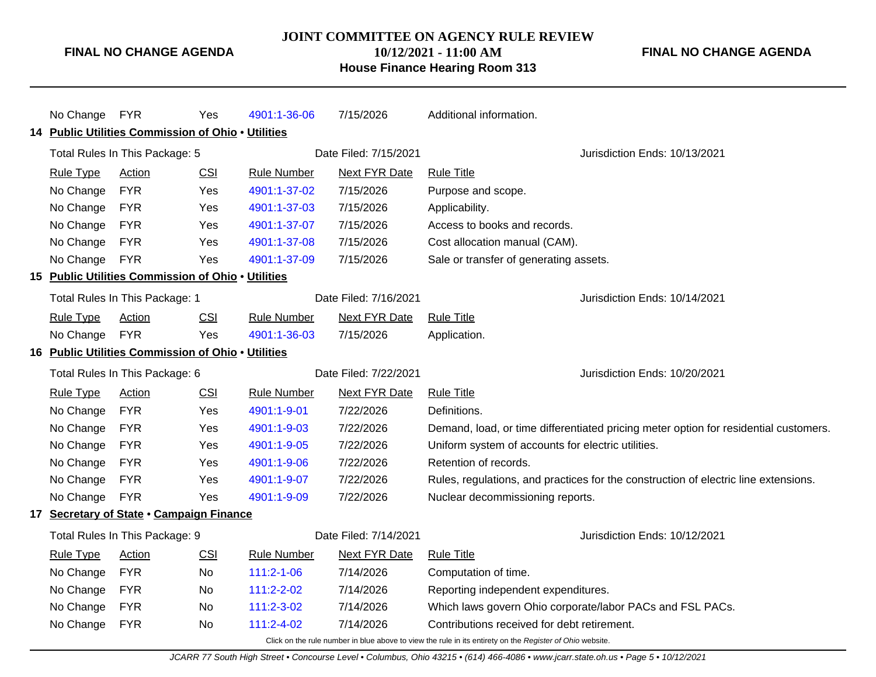### **JOINT COMMITTEE ON AGENCY RULE REVIEW 10/12/2021 - 11:00 AM**

**FINAL NO CHANGE AGENDA**

# **House Finance Hearing Room 313**

|    | No Change FYR    |                                                    | Yes        | 4901:1-36-06       | 7/15/2026             | Additional information.                                                                                  |
|----|------------------|----------------------------------------------------|------------|--------------------|-----------------------|----------------------------------------------------------------------------------------------------------|
|    |                  | 14 Public Utilities Commission of Ohio . Utilities |            |                    |                       |                                                                                                          |
|    |                  | Total Rules In This Package: 5                     |            |                    | Date Filed: 7/15/2021 | Jurisdiction Ends: 10/13/2021                                                                            |
|    | <b>Rule Type</b> | <b>Action</b>                                      | CSI        | <b>Rule Number</b> | <b>Next FYR Date</b>  | <b>Rule Title</b>                                                                                        |
|    | No Change        | <b>FYR</b>                                         | Yes        | 4901:1-37-02       | 7/15/2026             | Purpose and scope.                                                                                       |
|    | No Change        | <b>FYR</b>                                         | Yes        | 4901:1-37-03       | 7/15/2026             | Applicability.                                                                                           |
|    | No Change        | <b>FYR</b>                                         | Yes        | 4901:1-37-07       | 7/15/2026             | Access to books and records.                                                                             |
|    | No Change        | <b>FYR</b>                                         | Yes        | 4901:1-37-08       | 7/15/2026             | Cost allocation manual (CAM).                                                                            |
|    | No Change        | <b>FYR</b>                                         | Yes        | 4901:1-37-09       | 7/15/2026             | Sale or transfer of generating assets.                                                                   |
|    |                  | 15 Public Utilities Commission of Ohio . Utilities |            |                    |                       |                                                                                                          |
|    |                  | Total Rules In This Package: 1                     |            |                    | Date Filed: 7/16/2021 | Jurisdiction Ends: 10/14/2021                                                                            |
|    | <b>Rule Type</b> | <b>Action</b>                                      | <b>CSI</b> | <b>Rule Number</b> | <b>Next FYR Date</b>  | <b>Rule Title</b>                                                                                        |
|    | No Change        | <b>FYR</b>                                         | Yes        | 4901:1-36-03       | 7/15/2026             | Application.                                                                                             |
|    |                  | 16 Public Utilities Commission of Ohio . Utilities |            |                    |                       |                                                                                                          |
|    |                  | Total Rules In This Package: 6                     |            |                    | Date Filed: 7/22/2021 | Jurisdiction Ends: 10/20/2021                                                                            |
|    | <b>Rule Type</b> | <b>Action</b>                                      | <b>CSI</b> | <b>Rule Number</b> | <b>Next FYR Date</b>  | <b>Rule Title</b>                                                                                        |
|    | No Change        | <b>FYR</b>                                         | Yes        | 4901:1-9-01        | 7/22/2026             | Definitions.                                                                                             |
|    | No Change        | <b>FYR</b>                                         | Yes        | 4901:1-9-03        | 7/22/2026             | Demand, load, or time differentiated pricing meter option for residential customers.                     |
|    | No Change        | <b>FYR</b>                                         | Yes        | 4901:1-9-05        | 7/22/2026             | Uniform system of accounts for electric utilities.                                                       |
|    | No Change        | <b>FYR</b>                                         | Yes        | 4901:1-9-06        | 7/22/2026             | Retention of records.                                                                                    |
|    | No Change        | <b>FYR</b>                                         | Yes        | 4901:1-9-07        | 7/22/2026             | Rules, regulations, and practices for the construction of electric line extensions.                      |
|    | No Change        | <b>FYR</b>                                         | Yes        | 4901:1-9-09        | 7/22/2026             | Nuclear decommissioning reports.                                                                         |
| 17 |                  | Secretary of State . Campaign Finance              |            |                    |                       |                                                                                                          |
|    |                  | Total Rules In This Package: 9                     |            |                    | Date Filed: 7/14/2021 | Jurisdiction Ends: 10/12/2021                                                                            |
|    | <b>Rule Type</b> | <b>Action</b>                                      | <b>CSI</b> | <b>Rule Number</b> | <b>Next FYR Date</b>  | <b>Rule Title</b>                                                                                        |
|    | No Change        | <b>FYR</b>                                         | No         | $111:2 - 1 - 06$   | 7/14/2026             | Computation of time.                                                                                     |
|    | No Change        | <b>FYR</b>                                         | No         | 111:2-2-02         | 7/14/2026             | Reporting independent expenditures.                                                                      |
|    | No Change        | <b>FYR</b>                                         | No         | 111:2-3-02         | 7/14/2026             | Which laws govern Ohio corporate/labor PACs and FSL PACs.                                                |
|    | No Change        | <b>FYR</b>                                         | No         | 111:2-4-02         | 7/14/2026             | Contributions received for debt retirement.                                                              |
|    |                  |                                                    |            |                    |                       | Click on the rule number in blue above to view the rule in its entirety on the Register of Ohio website. |

JCARR 77 South High Street • Concourse Level • Columbus, Ohio 43215 • (614) 466-4086 • www.jcarr.state.oh.us • Page 5 • 10/12/2021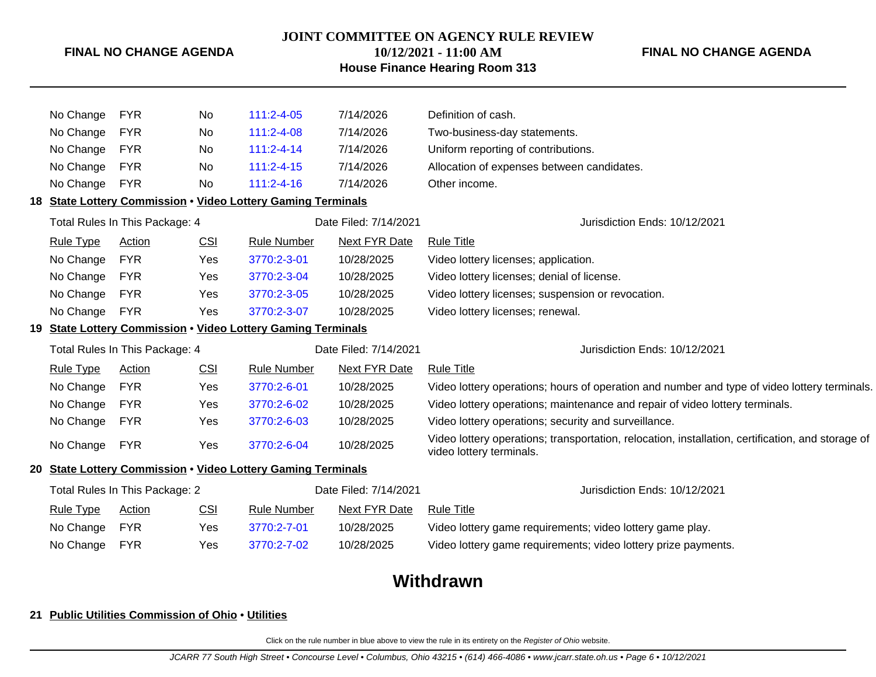**JOINT COMMITTEE ON AGENCY RULE REVIEW**

### **FINAL NO CHANGE AGENDA**

### **10/12/2021 - 11:00 AM House Finance Hearing Room 313**

**FINAL NO CHANGE AGENDA**

| No Change        | <b>FYR</b>                     | No         | $111:2 - 4 - 05$                                             | 7/14/2026             | Definition of cash.                                                                                                           |
|------------------|--------------------------------|------------|--------------------------------------------------------------|-----------------------|-------------------------------------------------------------------------------------------------------------------------------|
| No Change        | <b>FYR</b>                     | No         | 111:2-4-08                                                   | 7/14/2026             | Two-business-day statements.                                                                                                  |
| No Change        | <b>FYR</b>                     | No         | $111:2 - 4 - 14$                                             | 7/14/2026             | Uniform reporting of contributions.                                                                                           |
| No Change        | <b>FYR</b>                     | No         | $111:2 - 4 - 15$                                             | 7/14/2026             | Allocation of expenses between candidates.                                                                                    |
| No Change        | <b>FYR</b>                     | No         | $111:2 - 4 - 16$                                             | 7/14/2026             | Other income.                                                                                                                 |
|                  |                                |            | 18 State Lottery Commission . Video Lottery Gaming Terminals |                       |                                                                                                                               |
|                  | Total Rules In This Package: 4 |            |                                                              | Date Filed: 7/14/2021 | Jurisdiction Ends: 10/12/2021                                                                                                 |
| <b>Rule Type</b> | <b>Action</b>                  | CSI        | <b>Rule Number</b>                                           | <b>Next FYR Date</b>  | <b>Rule Title</b>                                                                                                             |
| No Change        | <b>FYR</b>                     | Yes        | 3770:2-3-01                                                  | 10/28/2025            | Video lottery licenses; application.                                                                                          |
| No Change        | <b>FYR</b>                     | Yes        | 3770:2-3-04                                                  | 10/28/2025            | Video lottery licenses; denial of license.                                                                                    |
| No Change        | <b>FYR</b>                     | Yes        | 3770:2-3-05                                                  | 10/28/2025            | Video lottery licenses; suspension or revocation.                                                                             |
| No Change        | <b>FYR</b>                     | Yes        | 3770:2-3-07                                                  | 10/28/2025            | Video lottery licenses; renewal.                                                                                              |
|                  |                                |            | 19 State Lottery Commission . Video Lottery Gaming Terminals |                       |                                                                                                                               |
|                  | Total Rules In This Package: 4 |            |                                                              | Date Filed: 7/14/2021 | Jurisdiction Ends: 10/12/2021                                                                                                 |
| <b>Rule Type</b> | Action                         | CSI        | <b>Rule Number</b>                                           | <b>Next FYR Date</b>  | <b>Rule Title</b>                                                                                                             |
| No Change        | <b>FYR</b>                     | <b>Yes</b> | 3770:2-6-01                                                  | 10/28/2025            | Video lottery operations; hours of operation and number and type of video lottery terminals.                                  |
| No Change        | <b>FYR</b>                     | Yes        | 3770:2-6-02                                                  | 10/28/2025            | Video lottery operations; maintenance and repair of video lottery terminals.                                                  |
| No Change        | <b>FYR</b>                     | Yes        | 3770:2-6-03                                                  | 10/28/2025            | Video lottery operations; security and surveillance.                                                                          |
| No Change        | <b>FYR</b>                     | Yes        | 3770:2-6-04                                                  | 10/28/2025            | Video lottery operations; transportation, relocation, installation, certification, and storage of<br>video lottery terminals. |
|                  |                                |            | 20 State Lottery Commission . Video Lottery Gaming Terminals |                       |                                                                                                                               |
|                  | Total Rules In This Package: 2 |            |                                                              | Date Filed: 7/14/2021 | Jurisdiction Ends: 10/12/2021                                                                                                 |
| <b>Rule Type</b> | <b>Action</b>                  | <b>CSI</b> | <b>Rule Number</b>                                           | <b>Next FYR Date</b>  | <b>Rule Title</b>                                                                                                             |
| No Change        | <b>FYR</b>                     | Yes        | 3770:2-7-01                                                  | 10/28/2025            | Video lottery game requirements; video lottery game play.                                                                     |
| No Change        | <b>FYR</b>                     | Yes        | 3770:2-7-02                                                  | 10/28/2025            | Video lottery game requirements; video lottery prize payments.                                                                |
|                  |                                |            |                                                              |                       |                                                                                                                               |
|                  |                                |            |                                                              |                       | MIBL1.                                                                                                                        |

# **Withdrawn**

### **21 Public Utilities Commission of Ohio** • **Utilities**